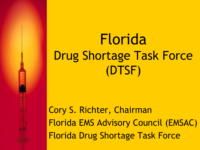# Florida Drug Shortage Task Force (DTSF)

Cory S. Richter, Chairman Florida EMS Advisory Council (EMSAC) Florida Drug Shortage Task Force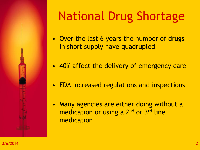

## National Drug Shortage

- Over the last 6 years the number of drugs in short supply have quadrupled
- 40% affect the delivery of emergency care
- FDA increased regulations and inspections
- Many agencies are either doing without a medication or using a 2<sup>nd</sup> or 3<sup>rd</sup> line medication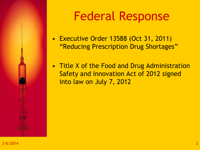

## Federal Response

- Executive Order 13588 (Oct 31, 2011) "Reducing Prescription Drug Shortages"
- Title X of the Food and Drug Administration Safety and Innovation Act of 2012 signed into law on July 7, 2012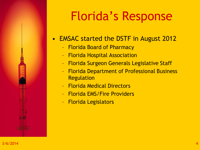- EMSAC started the DSTF in August 2012
	- Florida Board of Pharmacy
	- Florida Hospital Association
	- Florida Surgeon Generals Legislative Staff
	- Florida Department of Professional Business Regulation
	- Florida Medical Directors
	- Florida EMS/Fire Providers
	- Florida Legislators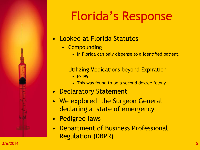- Looked at Florida Statutes
	- Compounding
		- In Florida can only dispense to a identified patient.
	- Utilizing Medications beyond Expiration
		- FS499
		- This was found to be a second degree felony
- Declaratory Statement
- We explored the Surgeon General declaring a state of emergency
- Pedigree laws
- Department of Business Professional Regulation (DBPR)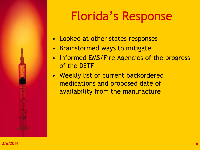- Looked at other states responses
- Brainstormed ways to mitigate
- Informed EMS/Fire Agencies of the progress of the DSTF
- Weekly list of current backordered medications and proposed date of availability from the manufacture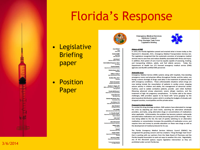#### • Legislative **Briefing** paper

• Position Paper

Cory Richter'

**Daniel Griffin'** 

**EMS Educate** 

**Julie Bacon' EMS** for Children Lion

**Lav Eiderly** 

**Preston Bowlin"** 

William Colbum"

**EMS Administrator (Fire)** 

**Bradley Ellas, M.D.'** Physician

**Maria Fernandeze Hospital Administrator** 

Charles F. Hagan, Illee

**Trenda McPherson** nt of Transportatio

**Charles Moreland, Ph.D.' Paramedic (Fire)** 

**EMS Administrator (Non-Fire)** 

Lt. Timothy Roufa"

**Air Ambulonce Operato** 

**Alan Skawroneck** ial Ambulance Operator

Regina Sofer

**Carlton Wells**"

ent of Management

**Narcissus Willis" tment of Education** 

**Lav Person Vacant Paramedic Mon-Fire** 

Highway Safety & **Motor Vehicles** 

**David Mennini\*** 

Joe Nelson, D.O. **State EMS Medical Director** 

> **Amy Paratore' Emergency Nurse**

> > **Tom Quillin'**

John Scott

**EMT** (Non-Fire)

Office of the Governor, Emergency

nt of Financial Services Patricia Byers, M.D.'

Doris Ballard-Ferguson, Ph.D."

**Vice-Chair** 

Chair EMT (Fire) **Emergency Medical Services Advisory Council Drug Shortage Task Force Legislative Briefing** 



#### **History of EMS**

In 1973, the Florida legislation passed and enacted what is known today as the Raymond H. Alexander, M.D., Emergency Medical Transportation Services Act. The Legislature recognized that the systematic provision of emergency medical services was to save lives and reduce disability associated with illness and injury. In addition, that system of care must be equally capable of assessing, treating, and transporting children, adults, and frail elderly persons. Today the Department of Health has 272 licensed emergency medical service (EMS) agencies and 66,495 certified EMS personnel.

#### **Statewide Issue**

Emergency Medical Service (EMS) systems along with hospitals, free-standing emergency rooms and physician offices throughout Florida, and the nation, are facing a severe shortage of drugs used daily in the treatment of patients faced with emergency conditions. These unforeseeable situations where drugs are now lacking include the resuscitation of patients in cardiac arrest, stopping seizure activity in children and adults, the management of abnormal cardiac rhythms, used to sedate combative patients, provide pain relief, facilitate lifesaving advanced airway placement, severe allergic reactions, and the treatment of high risk pregnancy complications. To further add to the above challenges, EMS providers appear to be faced with "price gouging" by the pharmaceutical distribution system which is eroding the budgets of already cash strapped counties, municipalities and the private sector.

#### **Proposed In-State Solutions**

To combat the drug shortage problem, EMS systems have attempted to manage the crisis by adjusting par stock levels, searching for alternative wholesale providers, and lastly, using alternative drugs or concentrations of medications when applicable. Unfortunately, the problem has become systemic nationwide and alternative medications are currently becoming part of the shortage. Risk is now being added to the list; the task of quickly switching to an alternative medication or concentration increases the possibility of medication errors, and requires time and money to provide education on these new drugs as well as the development of medical protocols for its use.

The Florida Emergency Medical Services Advisory Council (EMSAC) has recognized this growing concern and has created a "Drug Shortage Task Force" that is working with our partners from the State Board of Pharmacy and the Florida Hospital Association to seek out ways to weather this crisis. Regrettably, any of the discussed options require legislative intervention as they are

#### $3/6/2014$  and the current Florida law.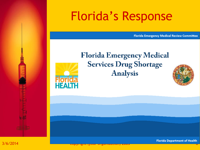**Florida Emergency Medical Review Committee** 



**Florida Emergency Medical Services Drug Shortage Analysis** 

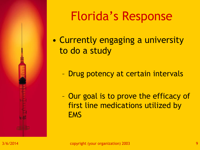

- Currently engaging a university to do a study
	- Drug potency at certain intervals
	- Our goal is to prove the efficacy of first line medications utilized by **EMS**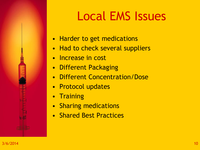- Harder to get medications
- Had to check several suppliers
- Increase in cost
- Different Packaging
- Different Concentration/Dose
- Protocol updates
- Training
- Sharing medications
- Shared Best Practices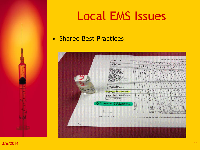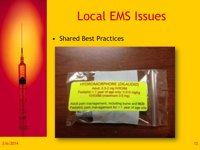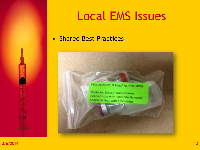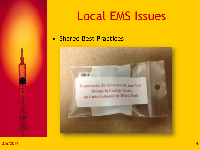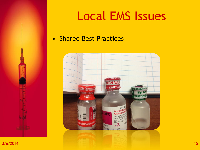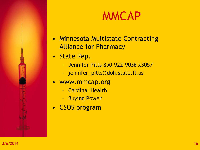#### MMCAP

- Minnesota Multistate Contracting Alliance for Pharmacy
- State Rep.
	- Jennifer Pitts 850-922-9036 x3057
	- jennifer\_pitts@doh.state.fl.us
- www.mmcap.org
	- Cardinal Health
	- Buying Power
- CSOS program